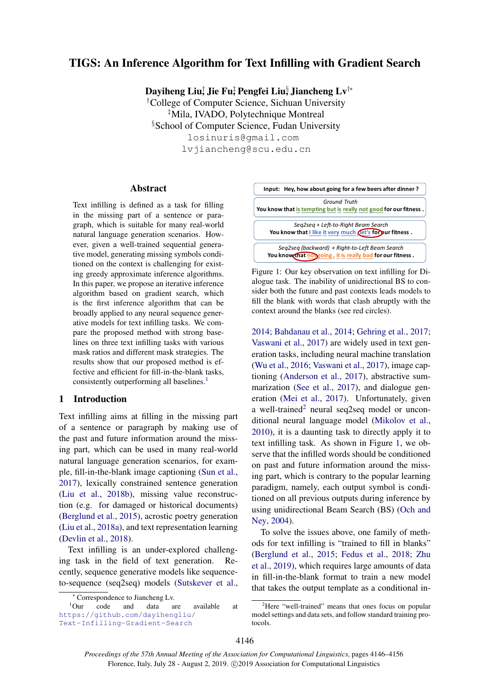# TIGS: An Inference Algorithm for Text Infilling with Gradient Search

Dayiheng Liu $_{\rm J}^{\dag}$  Jie Fu $_{\rm J}^{\ddag}$  Pengfei Liu $_{\rm J}^{\rm 8}$  Jiancheng Lv $^{\dag\ast}$ 

†College of Computer Science, Sichuan University ‡Mila, IVADO, Polytechnique Montreal §School of Computer Science, Fudan University losinuris@gmail.com lvjiancheng@scu.edu.cn

## Abstract

Text infilling is defined as a task for filling in the missing part of a sentence or paragraph, which is suitable for many real-world natural language generation scenarios. However, given a well-trained sequential generative model, generating missing symbols conditioned on the context is challenging for existing greedy approximate inference algorithms. In this paper, we propose an iterative inference algorithm based on gradient search, which is the first inference algorithm that can be broadly applied to any neural sequence generative models for text infilling tasks. We compare the proposed method with strong baselines on three text infilling tasks with various mask ratios and different mask strategies. The results show that our proposed method is effective and efficient for fill-in-the-blank tasks, consistently outperforming all baselines.<sup>[1](#page-0-0)</sup>

## 1 Introduction

Text infilling aims at filling in the missing part of a sentence or paragraph by making use of the past and future information around the missing part, which can be used in many real-world natural language generation scenarios, for example, fill-in-the-blank image captioning [\(Sun et al.,](#page-9-0) [2017\)](#page-9-0), lexically constrained sentence generation [\(Liu et al.,](#page-9-1) [2018b\)](#page-9-1), missing value reconstruction (e.g. for damaged or historical documents) [\(Berglund et al.,](#page-9-2) [2015\)](#page-9-2), acrostic poetry generation [\(Liu et al.,](#page-9-3) [2018a\)](#page-9-3), and text representation learning [\(Devlin et al.,](#page-9-4) [2018\)](#page-9-4).

Text infilling is an under-explored challenging task in the field of text generation. Recently, sequence generative models like sequenceto-sequence (seq2seq) models [\(Sutskever et al.,](#page-9-5)

<sup>1</sup>Our code and data are available at [https://github.com/dayihengliu/](https://github.com/dayihengliu/Text-Infilling-Gradient-Search) [Text-Infilling-Gradient-Search](https://github.com/dayihengliu/Text-Infilling-Gradient-Search)

<span id="page-0-2"></span>

Figure 1: Our key observation on text infilling for Dialogue task. The inability of unidirectional BS to consider both the future and past contexts leads models to fill the blank with words that clash abruptly with the context around the blanks (see red circles).

[2014;](#page-9-5) [Bahdanau et al.,](#page-9-6) [2014;](#page-9-6) [Gehring et al.,](#page-9-7) [2017;](#page-9-7) [Vaswani et al.,](#page-10-0) [2017\)](#page-10-0) are widely used in text generation tasks, including neural machine translation [\(Wu et al.,](#page-10-1) [2016;](#page-10-1) [Vaswani et al.,](#page-10-0) [2017\)](#page-10-0), image captioning [\(Anderson et al.,](#page-9-8) [2017\)](#page-9-8), abstractive summarization [\(See et al.,](#page-9-9) [2017\)](#page-9-9), and dialogue generation [\(Mei et al.,](#page-9-10) [2017\)](#page-9-10). Unfortunately, given a well-trained<sup>[2](#page-0-1)</sup> neural seq2seq model or unconditional neural language model [\(Mikolov et al.,](#page-9-11) [2010\)](#page-9-11), it is a daunting task to directly apply it to text infilling task. As shown in Figure [1,](#page-0-2) we observe that the infilled words should be conditioned on past and future information around the missing part, which is contrary to the popular learning paradigm, namely, each output symbol is conditioned on all previous outputs during inference by using unidirectional Beam Search (BS) [\(Och and](#page-9-12) [Ney,](#page-9-12) [2004\)](#page-9-12).

To solve the issues above, one family of methods for text infilling is "trained to fill in blanks" [\(Berglund et al.,](#page-9-2) [2015;](#page-9-2) [Fedus et al.,](#page-9-13) [2018;](#page-9-13) [Zhu](#page-10-2) [et al.,](#page-10-2) [2019\)](#page-10-2), which requires large amounts of data in fill-in-the-blank format to train a new model that takes the output template as a conditional in-

<span id="page-0-0"></span><sup>∗</sup> Correspondence to Jiancheng Lv.

<span id="page-0-1"></span><sup>&</sup>lt;sup>2</sup>Here "well-trained" means that ones focus on popular model settings and data sets, and follow standard training protocols.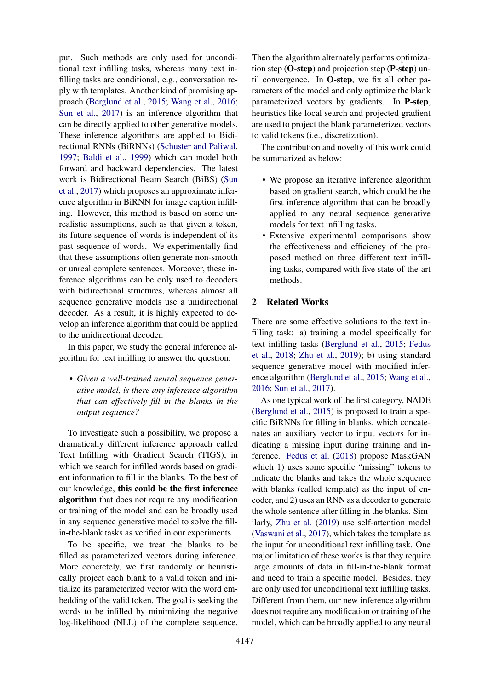put. Such methods are only used for unconditional text infilling tasks, whereas many text infilling tasks are conditional, e.g., conversation reply with templates. Another kind of promising approach [\(Berglund et al.,](#page-9-2) [2015;](#page-9-2) [Wang et al.,](#page-10-3) [2016;](#page-10-3) [Sun et al.,](#page-9-0) [2017\)](#page-9-0) is an inference algorithm that can be directly applied to other generative models. These inference algorithms are applied to Bidirectional RNNs (BiRNNs) [\(Schuster and Paliwal,](#page-9-14) [1997;](#page-9-14) [Baldi et al.,](#page-9-15) [1999\)](#page-9-15) which can model both forward and backward dependencies. The latest work is Bidirectional Beam Search (BiBS) [\(Sun](#page-9-0) [et al.,](#page-9-0) [2017\)](#page-9-0) which proposes an approximate inference algorithm in BiRNN for image caption infilling. However, this method is based on some unrealistic assumptions, such as that given a token, its future sequence of words is independent of its past sequence of words. We experimentally find that these assumptions often generate non-smooth or unreal complete sentences. Moreover, these inference algorithms can be only used to decoders with bidirectional structures, whereas almost all sequence generative models use a unidirectional decoder. As a result, it is highly expected to develop an inference algorithm that could be applied to the unidirectional decoder.

In this paper, we study the general inference algorithm for text infilling to answer the question:

• *Given a well-trained neural sequence generative model, is there any inference algorithm that can effectively fill in the blanks in the output sequence?*

To investigate such a possibility, we propose a dramatically different inference approach called Text Infilling with Gradient Search (TIGS), in which we search for infilled words based on gradient information to fill in the blanks. To the best of our knowledge, this could be the first inference algorithm that does not require any modification or training of the model and can be broadly used in any sequence generative model to solve the fillin-the-blank tasks as verified in our experiments.

To be specific, we treat the blanks to be filled as parameterized vectors during inference. More concretely, we first randomly or heuristically project each blank to a valid token and initialize its parameterized vector with the word embedding of the valid token. The goal is seeking the words to be infilled by minimizing the negative log-likelihood (NLL) of the complete sequence.

Then the algorithm alternately performs optimization step (O-step) and projection step (P-step) until convergence. In O-step, we fix all other parameters of the model and only optimize the blank parameterized vectors by gradients. In P-step, heuristics like local search and projected gradient are used to project the blank parameterized vectors to valid tokens (i.e., discretization).

The contribution and novelty of this work could be summarized as below:

- We propose an iterative inference algorithm based on gradient search, which could be the first inference algorithm that can be broadly applied to any neural sequence generative models for text infilling tasks.
- Extensive experimental comparisons show the effectiveness and efficiency of the proposed method on three different text infilling tasks, compared with five state-of-the-art methods.

## 2 Related Works

There are some effective solutions to the text infilling task: a) training a model specifically for text infilling tasks [\(Berglund et al.,](#page-9-2) [2015;](#page-9-2) [Fedus](#page-9-13) [et al.,](#page-9-13) [2018;](#page-9-13) [Zhu et al.,](#page-10-2) [2019\)](#page-10-2); b) using standard sequence generative model with modified inference algorithm [\(Berglund et al.,](#page-9-2) [2015;](#page-9-2) [Wang et al.,](#page-10-3) [2016;](#page-10-3) [Sun et al.,](#page-9-0) [2017\)](#page-9-0).

As one typical work of the first category, NADE [\(Berglund et al.,](#page-9-2) [2015\)](#page-9-2) is proposed to train a specific BiRNNs for filling in blanks, which concatenates an auxiliary vector to input vectors for indicating a missing input during training and inference. [Fedus et al.](#page-9-13) [\(2018\)](#page-9-13) propose MaskGAN which 1) uses some specific "missing" tokens to indicate the blanks and takes the whole sequence with blanks (called template) as the input of encoder, and 2) uses an RNN as a decoder to generate the whole sentence after filling in the blanks. Similarly, [Zhu et al.](#page-10-2) [\(2019\)](#page-10-2) use self-attention model [\(Vaswani et al.,](#page-10-0) [2017\)](#page-10-0), which takes the template as the input for unconditional text infilling task. One major limitation of these works is that they require large amounts of data in fill-in-the-blank format and need to train a specific model. Besides, they are only used for unconditional text infilling tasks. Different from them, our new inference algorithm does not require any modification or training of the model, which can be broadly applied to any neural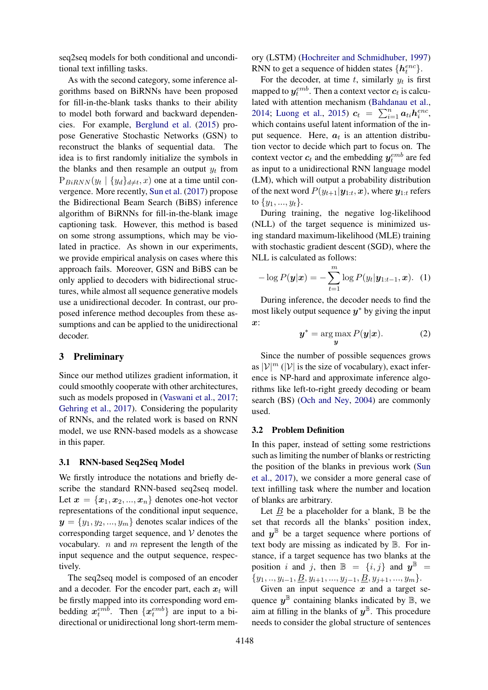seq2seq models for both conditional and unconditional text infilling tasks.

As with the second category, some inference algorithms based on BiRNNs have been proposed for fill-in-the-blank tasks thanks to their ability to model both forward and backward dependencies. For example, [Berglund et al.](#page-9-2) [\(2015\)](#page-9-2) propose Generative Stochastic Networks (GSN) to reconstruct the blanks of sequential data. The idea is to first randomly initialize the symbols in the blanks and then resample an output  $y_t$  from  $P_{BiRNN}(y_t | \{y_d\}_{d \neq t}, x)$  one at a time until convergence. More recently, [Sun et al.](#page-9-0) [\(2017\)](#page-9-0) propose the Bidirectional Beam Search (BiBS) inference algorithm of BiRNNs for fill-in-the-blank image captioning task. However, this method is based on some strong assumptions, which may be violated in practice. As shown in our experiments, we provide empirical analysis on cases where this approach fails. Moreover, GSN and BiBS can be only applied to decoders with bidirectional structures, while almost all sequence generative models use a unidirectional decoder. In contrast, our proposed inference method decouples from these assumptions and can be applied to the unidirectional decoder.

## 3 Preliminary

Since our method utilizes gradient information, it could smoothly cooperate with other architectures, such as models proposed in [\(Vaswani et al.,](#page-10-0) [2017;](#page-10-0) [Gehring et al.,](#page-9-7) [2017\)](#page-9-7). Considering the popularity of RNNs, and the related work is based on RNN model, we use RNN-based models as a showcase in this paper.

## 3.1 RNN-based Seq2Seq Model

We firstly introduce the notations and briefly describe the standard RNN-based seq2seq model. Let  $x = \{x_1, x_2, ..., x_n\}$  denotes one-hot vector representations of the conditional input sequence,  $y = \{y_1, y_2, ..., y_m\}$  denotes scalar indices of the corresponding target sequence, and  $V$  denotes the vocabulary.  $n$  and  $m$  represent the length of the input sequence and the output sequence, respectively.

The seq2seq model is composed of an encoder and a decoder. For the encoder part, each  $x_t$  will be firstly mapped into its corresponding word embedding  $x_t^{emb}$ . Then  $\{x_t^{emb}\}$  are input to a bidirectional or unidirectional long short-term memory (LSTM) [\(Hochreiter and Schmidhuber,](#page-9-16) [1997\)](#page-9-16) RNN to get a sequence of hidden states  $\{h_t^{enc}\}.$ 

For the decoder, at time t, similarly  $y_t$  is first mapped to  $y_t^{emb}$ . Then a context vector  $c_t$  is calculated with attention mechanism [\(Bahdanau et al.,](#page-9-6) [2014;](#page-9-6) [Luong et al.,](#page-9-17) [2015\)](#page-9-17)  $c_t = \sum_{i=1}^{n} a_{ti} h_i^{enc}$ , which contains useful latent information of the input sequence. Here,  $a_t$  is an attention distribution vector to decide which part to focus on. The context vector  $c_t$  and the embedding  $y_t^{emb}$  are fed as input to a unidirectional RNN language model (LM), which will output a probability distribution of the next word  $P(y_{t+1}|\mathbf{y}_{1:t}, \mathbf{x})$ , where  $\mathbf{y}_{1:t}$  refers to  $\{y_1, ..., y_t\}.$ 

During training, the negative log-likelihood (NLL) of the target sequence is minimized using standard maximum-likelihood (MLE) training with stochastic gradient descent (SGD), where the NLL is calculated as follows:

$$
-\log P(\boldsymbol{y}|\boldsymbol{x}) = -\sum_{t=1}^{m} \log P(y_t|\boldsymbol{y}_{1:t-1}, \boldsymbol{x}). \quad (1)
$$

During inference, the decoder needs to find the most likely output sequence  $y^*$  by giving the input  $x$ :

$$
y^* = \arg\max_{y} P(y|x). \tag{2}
$$

Since the number of possible sequences grows as  $|\mathcal{V}|^m$  ( $|\mathcal{V}|$  is the size of vocabulary), exact inference is NP-hard and approximate inference algorithms like left-to-right greedy decoding or beam search (BS) [\(Och and Ney,](#page-9-12) [2004\)](#page-9-12) are commonly used.

### 3.2 Problem Definition

In this paper, instead of setting some restrictions such as limiting the number of blanks or restricting the position of the blanks in previous work [\(Sun](#page-9-0) [et al.,](#page-9-0) [2017\)](#page-9-0), we consider a more general case of text infilling task where the number and location of blanks are arbitrary.

Let  $B$  be a placeholder for a blank,  $\mathbb B$  be the set that records all the blanks' position index, and  $y^{\mathbb{B}}$  be a target sequence where portions of text body are missing as indicated by B. For instance, if a target sequence has two blanks at the position i and j, then  $\mathbb{B} = \{i, j\}$  and  $\mathbf{y}^{\mathbb{B}} =$  ${y_1, ..., y_{i-1}, \underline{B}, y_{i+1}, ..., y_{j-1}, \underline{B}, y_{j+1}, ..., y_m}.$ 

Given an input sequence  $x$  and a target sequence  $y^{\mathbb{B}}$  containing blanks indicated by  $\mathbb{B}$ , we aim at filling in the blanks of  $y^{\mathbb{B}}$ . This procedure needs to consider the global structure of sentences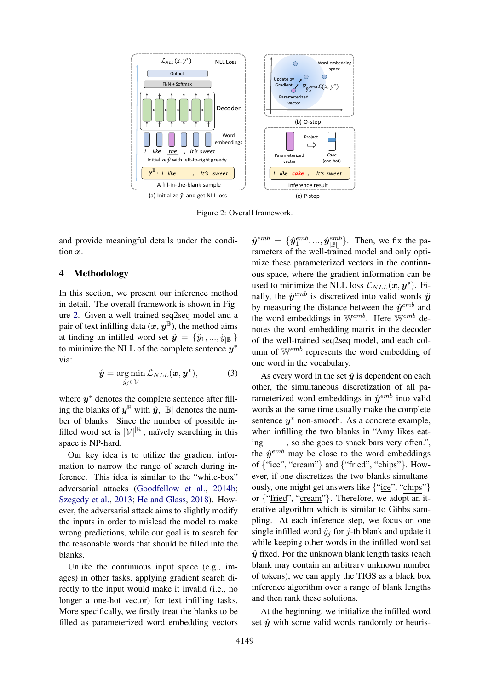<span id="page-3-0"></span>

Figure 2: Overall framework.

and provide meaningful details under the condition x.

## 4 Methodology

In this section, we present our inference method in detail. The overall framework is shown in Figure [2.](#page-3-0) Given a well-trained seq2seq model and a pair of text infilling data  $(x, y^{\mathbb{B}})$ , the method aims at finding an infilled word set  $\hat{y} = \{\hat{y}_1, ..., \hat{y}_{|\mathbb{R}|}\}\$ to minimize the NLL of the complete sentence  $y^*$ via:

$$
\hat{\boldsymbol{y}} = \underset{\hat{y}_j \in \mathcal{V}}{\arg \min} \mathcal{L}_{NLL}(\boldsymbol{x}, \boldsymbol{y}^*), \tag{3}
$$

where  $y^*$  denotes the complete sentence after filling the blanks of  $y^{\mathbb{B}}$  with  $\hat{y}$ ,  $|\mathbb{B}|$  denotes the number of blanks. Since the number of possible infilled word set is  $|\mathcal{V}|^{|\mathbb{B}|}$ , naïvely searching in this space is NP-hard.

Our key idea is to utilize the gradient information to narrow the range of search during inference. This idea is similar to the "white-box" adversarial attacks [\(Goodfellow et al.,](#page-9-18) [2014b;](#page-9-18) [Szegedy et al.,](#page-9-19) [2013;](#page-9-19) [He and Glass,](#page-9-20) [2018\)](#page-9-20). However, the adversarial attack aims to slightly modify the inputs in order to mislead the model to make wrong predictions, while our goal is to search for the reasonable words that should be filled into the blanks.

Unlike the continuous input space (e.g., images) in other tasks, applying gradient search directly to the input would make it invalid (i.e., no longer a one-hot vector) for text infilling tasks. More specifically, we firstly treat the blanks to be filled as parameterized word embedding vectors

 $\hat{\mathbf{y}}^{emb} = \{\hat{\mathbf{y}}^{emb}_1, ..., \hat{\mathbf{y}}^{emb}_{|\mathbb{B}|}\}.$  Then, we fix the parameters of the well-trained model and only optimize these parameterized vectors in the continuous space, where the gradient information can be used to minimize the NLL loss  $\mathcal{L}_{NLL}(x, y^*)$ . Finally, the  $\hat{y}^{emb}$  is discretized into valid words  $\hat{y}$ by measuring the distance between the  $\hat{y}^{emb}$  and the word embeddings in  $W^{emb}$ . Here  $W^{emb}$  denotes the word embedding matrix in the decoder of the well-trained seq2seq model, and each column of Wemb represents the word embedding of one word in the vocabulary.

As every word in the set  $\hat{y}$  is dependent on each other, the simultaneous discretization of all parameterized word embeddings in  $\hat{y}^{emb}$  into valid words at the same time usually make the complete sentence  $y^*$  non-smooth. As a concrete example, when infilling the two blanks in "Amy likes eating \_\_ \_, so she goes to snack bars very often.", the  $\hat{y}^{emb}$  may be close to the word embeddings of {"ice", "cream"} and {"fried", "chips"}. However, if one discretizes the two blanks simultaneously, one might get answers like {"ice", "chips"} or {"fried", "cream"}. Therefore, we adopt an iterative algorithm which is similar to Gibbs sampling. At each inference step, we focus on one single infilled word  $\hat{y}_i$  for j-th blank and update it while keeping other words in the infilled word set  $\hat{y}$  fixed. For the unknown blank length tasks (each blank may contain an arbitrary unknown number of tokens), we can apply the TIGS as a black box inference algorithm over a range of blank lengths and then rank these solutions.

At the beginning, we initialize the infilled word set  $\hat{y}$  with some valid words randomly or heuris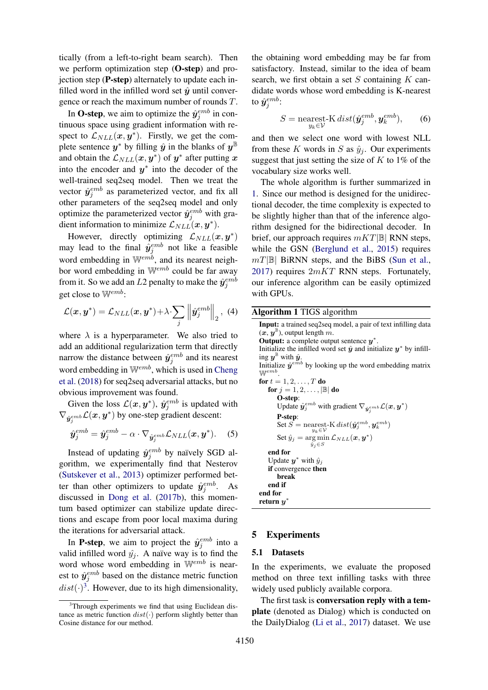tically (from a left-to-right beam search). Then we perform optimization step (**O-step**) and projection step (P-step) alternately to update each infilled word in the infilled word set  $\hat{y}$  until convergence or reach the maximum number of rounds T.

In O-step, we aim to optimize the  $\hat{y}_j^{emb}$  in continuous space using gradient information with respect to  $\mathcal{L}_{NLL}(\boldsymbol{x}, \boldsymbol{y}^*)$ . Firstly, we get the complete sentence  $y^*$  by filling  $\hat{y}$  in the blanks of  $y^{\mathbb{B}}$ and obtain the  $\mathcal{L}_{NLL}(\boldsymbol{x}, \boldsymbol{y}^*)$  of  $\boldsymbol{y}^*$  after putting  $\boldsymbol{x}$ into the encoder and  $y^*$  into the decoder of the well-trained seq2seq model. Then we treat the vector  $\hat{y}_j^{emb}$  as parameterized vector, and fix all other parameters of the seq2seq model and only optimize the parameterized vector  $\hat{y}_{j}^{emb}$  with gradient information to minimize  $\mathcal{L}_{NLL}(\boldsymbol{x}, \boldsymbol{y}^*)$ .

However, directly optimizing  $\mathcal{L}_{NLL}(\boldsymbol{x}, \boldsymbol{y}^*)$ may lead to the final  $\hat{y}_j^{emb}$  not like a feasible word embedding in  $\mathbb{W}^{emb}$ , and its nearest neighbor word embedding in Wemb could be far away from it. So we add an  $L2$  penalty to make the  $\hat{\bm{y}}^{emb}_{j}$ get close to  $\mathbb{W}^{emb}$ :

$$
\mathcal{L}(\boldsymbol{x}, \boldsymbol{y}^*) = \mathcal{L}_{NLL}(\boldsymbol{x}, \boldsymbol{y}^*) + \lambda \sum_j \left\| \hat{\boldsymbol{y}}_j^{emb} \right\|_2, \tag{4}
$$

where  $\lambda$  is a hyperparameter. We also tried to add an additional regularization term that directly narrow the distance between  $\hat{y}_j^{emb}$  and its nearest word embedding in  $W^{emb}$ , which is used in [Cheng](#page-9-21) [et al.](#page-9-21) [\(2018\)](#page-9-21) for seq2seq adversarial attacks, but no obvious improvement was found.

Given the loss  $\mathcal{L}(\boldsymbol{x}, \boldsymbol{y}^*)$ ,  $\hat{\boldsymbol{y}}_j^{emb}$  is updated with  $\nabla_{\hat{\boldsymbol{y}}_j^{emb}} \mathcal{L}(\boldsymbol{x}, \boldsymbol{y}^*)$  by one-step gradient descent:

$$
\hat{\boldsymbol{y}}_{j}^{emb} = \hat{\boldsymbol{y}}_{j}^{emb} - \alpha \cdot \nabla_{\hat{\boldsymbol{y}}_{j}^{emb}} \mathcal{L}_{NLL}(\boldsymbol{x}, \boldsymbol{y}^{*}). \quad (5)
$$

Instead of updating  $\hat{y}_j^{emb}$  by naïvely SGD algorithm, we experimentally find that Nesterov [\(Sutskever et al.,](#page-9-22) [2013\)](#page-9-22) optimizer performed better than other optimizers to update  $\hat{y}_j^{emb}$ . As discussed in [Dong et al.](#page-9-23) [\(2017b\)](#page-9-23), this momentum based optimizer can stabilize update directions and escape from poor local maxima during the iterations for adversarial attack.

In **P-step**, we aim to project the  $\hat{y}_j^{emb}$  into a valid infilled word  $\hat{y}_i$ . A naïve way is to find the word whose word embedding in  $\mathbb{W}^{emb}$  is nearest to  $\hat{y}_j^{emb}$  based on the distance metric function  $dist(\cdot)^3$  $dist(\cdot)^3$ . However, due to its high dimensionality,

the obtaining word embedding may be far from satisfactory. Instead, similar to the idea of beam search, we first obtain a set  $S$  containing  $K$  candidate words whose word embedding is K-nearest to  $\hat{\bm{y}}^{emb}_j$ :

$$
S = \underset{y_k \in \mathcal{V}}{\text{nearest-}K} \, dist(\hat{\mathbf{y}}_j^{emb}, \mathbf{y}_k^{emb}), \qquad (6)
$$

and then we select one word with lowest NLL from these K words in S as  $\hat{y}_i$ . Our experiments suggest that just setting the size of  $K$  to 1% of the vocabulary size works well.

The whole algorithm is further summarized in [1.](#page-4-1) Since our method is designed for the unidirectional decoder, the time complexity is expected to be slightly higher than that of the inference algorithm designed for the bidirectional decoder. In brief, our approach requires  $mKT|\mathbb{B}|$  RNN steps, while the GSN [\(Berglund et al.,](#page-9-2) [2015\)](#page-9-2) requires  $mT|\mathbb{B}|$  BiRNN steps, and the BiBS [\(Sun et al.,](#page-9-0) [2017\)](#page-9-0) requires  $2mKT$  RNN steps. Fortunately, our inference algorithm can be easily optimized with GPUs.

## <span id="page-4-1"></span>Algorithm 1 TIGS algorithm

Input: a trained seq2seq model, a pair of text infilling data  $(x, y^{\mathbb{B}})$ , output length m. Output: a complete output sentence  $y^*$ . Initialize the infilled word set  $\hat{y}$  and initialize  $y^*$  by infilling  $y^{\mathbb{B}}$  with  $\hat{y}$ . Initialize  $\hat{y}^{emb}$  by looking up the word embedding matrix Wemb . for  $t = 1, 2, \ldots, T$  do for  $j = 1, 2, \ldots, |\mathbb{B}|$  do O-step: Update  $\hat{y}_j^{emb}$  with gradient  $\nabla_{\hat{y}_j^{emb}} \mathcal{L}(x, y^*)$ P-step:  $\operatorname{Set}\overline{S} = \operatorname*{nearest-K}_{y_k \in \mathcal{V}} \operatorname*{dist}(\hat{\boldsymbol{y}}^{emb}_j, \boldsymbol{y}^{emb}_k)$ Set  $\hat{y}_j = \arg \min \mathcal{L}_{NLL}(\boldsymbol{x}, \boldsymbol{y}^*)$  $\hat{y}_j \in S$ end for Update  $y^*$  with  $\hat{y}_j$ if convergence then break end if end for return  $y^*$ 

### 5 Experiments

#### 5.1 Datasets

In the experiments, we evaluate the proposed method on three text infilling tasks with three widely used publicly available corpora.

The first task is conversation reply with a template (denoted as Dialog) which is conducted on the DailyDialog [\(Li et al.,](#page-9-24) [2017\)](#page-9-24) dataset. We use

<span id="page-4-0"></span> $3$ Through experiments we find that using Euclidean distance as metric function  $dist(\cdot)$  perform slightly better than Cosine distance for our method.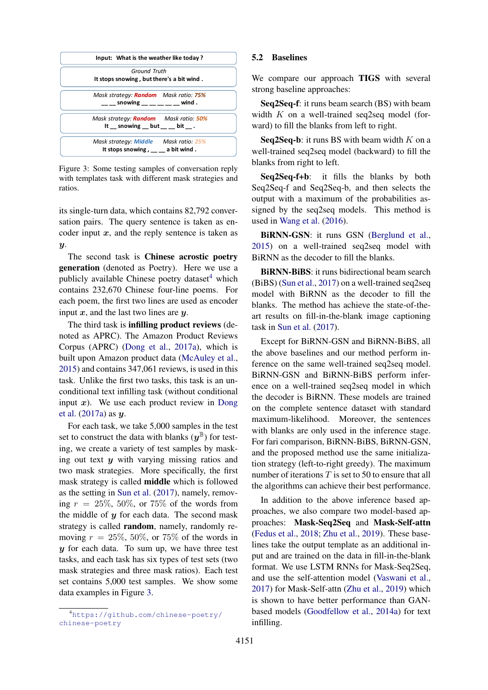<span id="page-5-1"></span>

Figure 3: Some testing samples of conversation reply with templates task with different mask strategies and ratios.

its single-turn data, which contains 82,792 conversation pairs. The query sentence is taken as encoder input  $x$ , and the reply sentence is taken as  $\boldsymbol{y}$ .

The second task is Chinese acrostic poetry generation (denoted as Poetry). Here we use a publicly available Chinese poetry dataset $4$  which contains 232,670 Chinese four-line poems. For each poem, the first two lines are used as encoder input  $x$ , and the last two lines are  $y$ .

The third task is infilling product reviews (denoted as APRC). The Amazon Product Reviews Corpus (APRC) [\(Dong et al.,](#page-9-25) [2017a\)](#page-9-25), which is built upon Amazon product data [\(McAuley et al.,](#page-9-26) [2015\)](#page-9-26) and contains 347,061 reviews, is used in this task. Unlike the first two tasks, this task is an unconditional text infilling task (without conditional input  $x$ ). We use each product review in [Dong](#page-9-25) [et al.](#page-9-25) [\(2017a\)](#page-9-25) as y.

For each task, we take 5,000 samples in the test set to construct the data with blanks  $(y^{\mathbb{B}})$  for testing, we create a variety of test samples by masking out text  $y$  with varying missing ratios and two mask strategies. More specifically, the first mask strategy is called middle which is followed as the setting in [Sun et al.](#page-9-0) [\(2017\)](#page-9-0), namely, removing  $r = 25\%, 50\%,$  or 75% of the words from the middle of  $y$  for each data. The second mask strategy is called random, namely, randomly removing  $r = 25\%, 50\%,$  or 75% of the words in  $y$  for each data. To sum up, we have three test tasks, and each task has six types of test sets (two mask strategies and three mask ratios). Each test set contains 5,000 test samples. We show some data examples in Figure [3.](#page-5-1)

## 5.2 Baselines

We compare our approach TIGS with several strong baseline approaches:

Seq2Seq-f: it runs beam search (BS) with beam width  $K$  on a well-trained seq2seq model (forward) to fill the blanks from left to right.

Seq2Seq-b: it runs BS with beam width  $K$  on a well-trained seq2seq model (backward) to fill the blanks from right to left.

Seq2Seq-f+b: it fills the blanks by both Seq2Seq-f and Seq2Seq-b, and then selects the output with a maximum of the probabilities assigned by the seq2seq models. This method is used in [Wang et al.](#page-10-3) [\(2016\)](#page-10-3).

BiRNN-GSN: it runs GSN [\(Berglund et al.,](#page-9-2) [2015\)](#page-9-2) on a well-trained seq2seq model with BiRNN as the decoder to fill the blanks.

BiRNN-BiBS: it runs bidirectional beam search (BiBS) [\(Sun et al.,](#page-9-0) [2017\)](#page-9-0) on a well-trained seq2seq model with BiRNN as the decoder to fill the blanks. The method has achieve the state-of-theart results on fill-in-the-blank image captioning task in [Sun et al.](#page-9-0) [\(2017\)](#page-9-0).

Except for BiRNN-GSN and BiRNN-BiBS, all the above baselines and our method perform inference on the same well-trained seq2seq model. BiRNN-GSN and BiRNN-BiBS perform inference on a well-trained seq2seq model in which the decoder is BiRNN. These models are trained on the complete sentence dataset with standard maximum-likelihood. Moreover, the sentences with blanks are only used in the inference stage. For fari comparison, BiRNN-BiBS, BiRNN-GSN, and the proposed method use the same initialization strategy (left-to-right greedy). The maximum number of iterations  $T$  is set to 50 to ensure that all the algorithms can achieve their best performance.

In addition to the above inference based approaches, we also compare two model-based approaches: Mask-Seq2Seq and Mask-Self-attn [\(Fedus et al.,](#page-9-13) [2018;](#page-9-13) [Zhu et al.,](#page-10-2) [2019\)](#page-10-2). These baselines take the output template as an additional input and are trained on the data in fill-in-the-blank format. We use LSTM RNNs for Mask-Seq2Seq, and use the self-attention model [\(Vaswani et al.,](#page-10-0) [2017\)](#page-10-0) for Mask-Self-attn [\(Zhu et al.,](#page-10-2) [2019\)](#page-10-2) which is shown to have better performance than GANbased models [\(Goodfellow et al.,](#page-9-27) [2014a\)](#page-9-27) for text infilling.

<span id="page-5-0"></span><sup>4</sup>[https://github.com/chinese-poetry/](https://github.com/chinese-poetry/chinese-poetry) [chinese-poetry](https://github.com/chinese-poetry/chinese-poetry)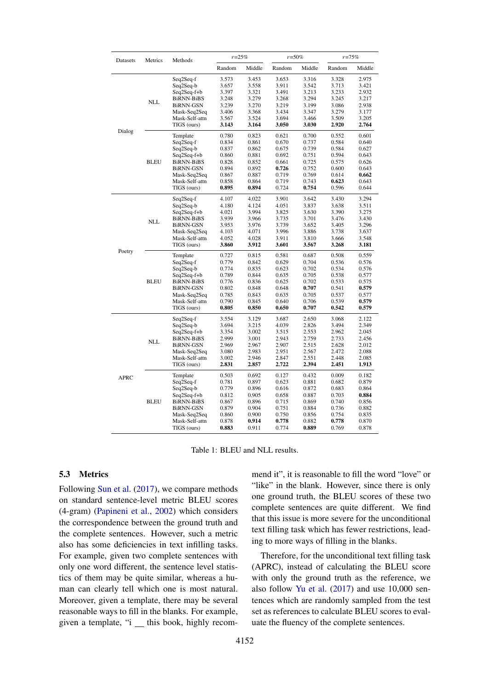<span id="page-6-0"></span>

| Datasets    | Metrics     | Methods                                                                                                                                     | $r = 25%$                                                                     |                                                                               | $r = 50\%$                                                                    |                                                                               | $r = 75%$                                                                     |                                                                               |
|-------------|-------------|---------------------------------------------------------------------------------------------------------------------------------------------|-------------------------------------------------------------------------------|-------------------------------------------------------------------------------|-------------------------------------------------------------------------------|-------------------------------------------------------------------------------|-------------------------------------------------------------------------------|-------------------------------------------------------------------------------|
|             |             |                                                                                                                                             | Random                                                                        | Middle                                                                        | Random                                                                        | Middle                                                                        | Random                                                                        | Middle                                                                        |
| Dialog      | <b>NLL</b>  | Seq2Seq-f<br>Seq2Seq-b<br>Seq2Seq-f+b<br>BiRNN-BiBS<br>BiRNN-GSN<br>Mask-Seq2Seq<br>Mask-Self-attn<br>TIGS (ours)                           | 3.573<br>3.657<br>3.397<br>3.248<br>3.239<br>3.406<br>3.567<br>3.143          | 3.453<br>3.558<br>3.321<br>3.279<br>3.270<br>3.368<br>3.524<br>3.164          | 3.653<br>3.911<br>3.491<br>3.268<br>3.219<br>3.434<br>3.694<br>3.050          | 3.316<br>3.542<br>3.213<br>3.294<br>3.199<br>3.347<br>3.466<br>3.030          | 3.328<br>3.713<br>3.233<br>3.245<br>3.086<br>3.279<br>3.509<br>2.920          | 2.975<br>3.421<br>2.932<br>3.217<br>2.938<br>3.177<br>3.205<br>2.764          |
|             | BLEU        | Template<br>Seq2Seq-f<br>Seq2Seq-b<br>Seq2Seq-f+b<br><b>BiRNN-BiBS</b><br>BiRNN-GSN<br>Mask-Seq2Seq<br>Mask-Self-attn<br>TIGS (ours)        | 0.780<br>0.834<br>0.837<br>0.860<br>0.828<br>0.894<br>0.867<br>0.858<br>0.895 | 0.823<br>0.861<br>0.862<br>0.881<br>0.852<br>0.892<br>0.887<br>0.864<br>0.894 | 0.621<br>0.670<br>0.675<br>0.692<br>0.661<br>0.726<br>0.719<br>0.719<br>0.724 | 0.700<br>0.737<br>0.739<br>0.751<br>0.725<br>0.752<br>0.769<br>0.743<br>0.754 | 0.552<br>0.584<br>0.584<br>0.594<br>0.575<br>0.600<br>0.614<br>0.623<br>0.596 | 0.601<br>0.640<br>0.627<br>0.643<br>0.626<br>0.643<br>0.662<br>0.643<br>0.644 |
| Poetry      | <b>NLL</b>  | Seq2Seq-f<br>Seq2Seq-b<br>Seq2Seq-f+b<br>BiRNN-BiBS<br>BiRNN-GSN<br>Mask-Seq2Seq<br>Mask-Self-attn<br>TIGS (ours)                           | 4.107<br>4.180<br>4.021<br>3.939<br>3.953<br>4.103<br>4.052<br>3.860          | 4.022<br>4.124<br>3.994<br>3.966<br>3.976<br>4.071<br>4.028<br>3.912          | 3.901<br>4.051<br>3.825<br>3.735<br>3.739<br>3.996<br>3.911<br>3.601          | 3.642<br>3.837<br>3.630<br>3.701<br>3.652<br>3.886<br>3.810<br>3.567          | 3.430<br>3.638<br>3.390<br>3.476<br>3.405<br>3.738<br>3.666<br>3.268          | 3.294<br>3.511<br>3.275<br>3.430<br>3.296<br>3.637<br>3.548<br>3.181          |
|             | <b>BLEU</b> | Template<br>Seq2Seq-f<br>Seq2Seq-b<br>Seq2Seq-f+b<br><b>BiRNN-BiBS</b><br><b>BiRNN-GSN</b><br>Mask-Seq2Seq<br>Mask-Self-attn<br>TIGS (ours) | 0.727<br>0.779<br>0.774<br>0.789<br>0.776<br>0.802<br>0.785<br>0.790<br>0.805 | 0.815<br>0.842<br>0.835<br>0.844<br>0.836<br>0.848<br>0.843<br>0.845<br>0.850 | 0.581<br>0.629<br>0.623<br>0.635<br>0.625<br>0.648<br>0.635<br>0.640<br>0.650 | 0.687<br>0.704<br>0.702<br>0.705<br>0.702<br>0.707<br>0.705<br>0.706<br>0.707 | 0.508<br>0.536<br>0.534<br>0.538<br>0.533<br>0.541<br>0.537<br>0.539<br>0.542 | 0.559<br>0.576<br>0.576<br>0.577<br>0.575<br>0.579<br>0.577<br>0.579<br>0.579 |
| <b>APRC</b> | <b>NLL</b>  | Seq2Seq-f<br>Seq2Seq-b<br>Seq2Seq-f+b<br>BiRNN-BiBS<br>BiRNN-GSN<br>Mask-Seq2Seq<br>Mask-Self-attn<br>TIGS (ours)                           | 3.554<br>3.694<br>3.354<br>2.999<br>2.969<br>3.080<br>3.002<br>2.831          | 3.129<br>3.215<br>3.002<br>3.001<br>2.967<br>2.983<br>2.946<br>2.857          | 3.687<br>4.039<br>3.515<br>2.943<br>2.907<br>2.951<br>2.847<br>2.722          | 2.650<br>2.826<br>2.553<br>2.759<br>2.515<br>2.567<br>2.551<br>2.394          | 3.068<br>3.494<br>2.962<br>2.733<br>2.628<br>2.472<br>2.448<br>2.451          | 2.122<br>2.349<br>2.045<br>2.456<br>2.012<br>2.088<br>2.085<br>1.913          |
|             | <b>BLEU</b> | Template<br>Seq2Seq-f<br>Seq2Seq-b<br>Seq2Seq-f+b<br><b>BiRNN-BiBS</b><br><b>BiRNN-GSN</b><br>Mask-Seq2Seq<br>Mask-Self-attn<br>TIGS (ours) | 0.503<br>0.781<br>0.779<br>0.812<br>0.867<br>0.879<br>0.860<br>0.878<br>0.883 | 0.692<br>0.897<br>0.896<br>0.905<br>0.896<br>0.904<br>0.900<br>0.914<br>0.911 | 0.127<br>0.623<br>0.616<br>0.658<br>0.715<br>0.751<br>0.750<br>0.778<br>0.774 | 0.432<br>0.881<br>0.872<br>0.887<br>0.869<br>0.884<br>0.856<br>0.882<br>0.889 | 0.009<br>0.682<br>0.683<br>0.703<br>0.740<br>0.736<br>0.754<br>0.778<br>0.769 | 0.182<br>0.879<br>0.864<br>0.884<br>0.856<br>0.882<br>0.835<br>0.870<br>0.878 |

Table 1: BLEU and NLL results.

## 5.3 Metrics

Following [Sun et al.](#page-9-0) [\(2017\)](#page-9-0), we compare methods on standard sentence-level metric BLEU scores (4-gram) [\(Papineni et al.,](#page-9-28) [2002\)](#page-9-28) which considers the correspondence between the ground truth and the complete sentences. However, such a metric also has some deficiencies in text infilling tasks. For example, given two complete sentences with only one word different, the sentence level statistics of them may be quite similar, whereas a human can clearly tell which one is most natural. Moreover, given a template, there may be several reasonable ways to fill in the blanks. For example, given a template, "i this book, highly recommend it", it is reasonable to fill the word "love" or "like" in the blank. However, since there is only one ground truth, the BLEU scores of these two complete sentences are quite different. We find that this issue is more severe for the unconditional text filling task which has fewer restrictions, leading to more ways of filling in the blanks.

Therefore, for the unconditional text filling task (APRC), instead of calculating the BLEU score with only the ground truth as the reference, we also follow [Yu et al.](#page-10-4) [\(2017\)](#page-10-4) and use 10,000 sentences which are randomly sampled from the test set as references to calculate BLEU scores to evaluate the fluency of the complete sentences.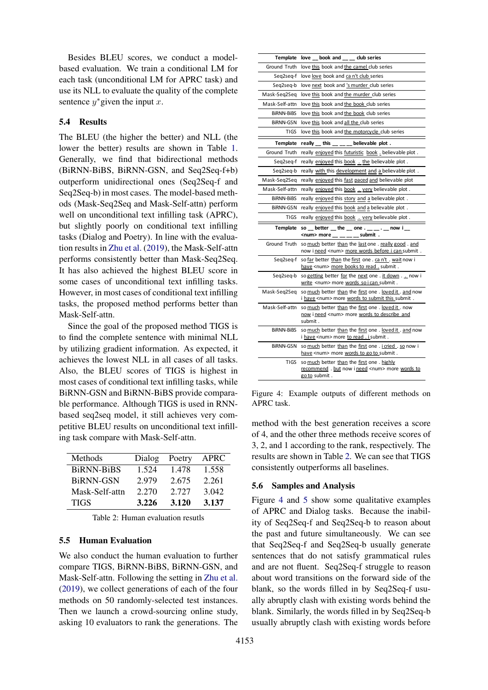Besides BLEU scores, we conduct a modelbased evaluation. We train a conditional LM for each task (unconditional LM for APRC task) and use its NLL to evaluate the quality of the complete sentence  $y^*$  given the input  $x$ .

## 5.4 Results

The BLEU (the higher the better) and NLL (the lower the better) results are shown in Table [1.](#page-6-0) Generally, we find that bidirectional methods (BiRNN-BiBS, BiRNN-GSN, and Seq2Seq-f+b) outperform unidirectional ones (Seq2Seq-f and Seq2Seq-b) in most cases. The model-based methods (Mask-Seq2Seq and Mask-Self-attn) perform well on unconditional text infilling task (APRC), but slightly poorly on conditional text infilling tasks (Dialog and Poetry). In line with the evaluation results in [Zhu et al.](#page-10-2) [\(2019\)](#page-10-2), the Mask-Self-attn performs consistently better than Mask-Seq2Seq. It has also achieved the highest BLEU score in some cases of unconditional text infilling tasks. However, in most cases of conditional text infilling tasks, the proposed method performs better than Mask-Self-attn.

Since the goal of the proposed method TIGS is to find the complete sentence with minimal NLL by utilizing gradient information. As expected, it achieves the lowest NLL in all cases of all tasks. Also, the BLEU scores of TIGS is highest in most cases of conditional text infilling tasks, while BiRNN-GSN and BiRNN-BiBS provide comparable performance. Although TIGS is used in RNNbased seq2seq model, it still achieves very competitive BLEU results on unconditional text infilling task compare with Mask-Self-attn.

<span id="page-7-0"></span>

| Methods          | Dialog | Poetry | APRC  |
|------------------|--------|--------|-------|
| BiRNN-BiBS       | 1.524  | 1.478  | 1.558 |
| <b>BiRNN-GSN</b> | 2.979  | 2.675  | 2.261 |
| Mask-Self-attn   | 2.270  | 2.727  | 3.042 |
| TIGS             | 3.226  | 3.120  | 3.137 |

Table 2: Human evaluation resutls

#### 5.5 Human Evaluation

We also conduct the human evaluation to further compare TIGS, BiRNN-BiBS, BiRNN-GSN, and Mask-Self-attn. Following the setting in [Zhu et al.](#page-10-2) [\(2019\)](#page-10-2), we collect generations of each of the four methods on 50 randomly-selected test instances. Then we launch a crowd-sourcing online study, asking 10 evaluators to rank the generations. The

<span id="page-7-1"></span>

| Template          | love __ book and __ __ club series                                                                                          |
|-------------------|-----------------------------------------------------------------------------------------------------------------------------|
| Ground Truth      | love this book and the camel club series                                                                                    |
| Seq2seq-f         | love love book and can't club series                                                                                        |
| Seq2seq-b         | love next book and 's murder club series                                                                                    |
| Mask-Seq2Seq      | love this book and the murder club series                                                                                   |
| Mask-Self-attn    | love this book and the book club series                                                                                     |
| <b>BIRNN-BIBS</b> | love this book and the book club series                                                                                     |
| <b>BIRNN-GSN</b>  | love this book and all the club series                                                                                      |
| <b>TIGS</b>       | love this book and the motorcycle club series                                                                               |
| <b>Template</b>   | really __ this __ __ believable plot.                                                                                       |
| Ground Truth      | really enjoyed this futuristic book. believable plot.                                                                       |
| Seg2seg-f         | really enjoyed this book _ the believable plot.                                                                             |
| Seq2seq-b         | really with this development and a believable plot.                                                                         |
| Mask-Seg2Seg      | really enjoyed this fast paced and believable plot                                                                          |
| Mask-Self-attn    | really enjoyed this book . very believable plot.                                                                            |
| <b>BIRNN-BIBS</b> | really enjoyed this story and a believable plot.                                                                            |
| BIRNN-GSN         | really enjoyed this book and a believable plot.                                                                             |
| <b>TIGS</b>       | really enjoyed this book _ very believable plot.                                                                            |
| <b>Template</b>   | so  better  the  one $\cdot$ $\cdot$ $\cdot$ $\cdot$ $\cdot$ $\cdot$ $\cdot$ now i<br><num> more __ __ __ __ submit .</num> |
| Ground Truth      | so much better than the last one . really good . and<br>now ineed <num> more words before i can submit.</num>               |
| Seg2seg-f         | so far better than the first one . can't . wait now i<br>have <num> more books to read submit.</num>                        |
| Seq2seq-b         | so getting better for the next one . it down now i<br>write <num> more words so i can submit.</num>                         |
| Mask-Seg2Seg      | so much better than the first one . loved it . and now<br>i have <num> more words to submit this submit.</num>              |
| Mask-Self-attn    | so much better than the first one . loved it . now<br>now i need <num> more words to describe and<br/>submit .</num>        |
| <b>BIRNN-BIBS</b> | so much better than the first one . loved it . and now<br>i have <num> more to read . i submit .</num>                      |
| BiRNN-GSN         | so much better than the first one . i cried . so now i<br>have <num> more words to go to submit.</num>                      |
| <b>TIGS</b>       | so much better than the first one. highly<br>recommend. but now i need <num> more words to</num>                            |

Figure 4: Example outputs of different methods on APRC task.

method with the best generation receives a score of 4, and the other three methods receive scores of 3, 2, and 1 according to the rank, respectively. The results are shown in Table [2.](#page-7-0) We can see that TIGS consistently outperforms all baselines.

#### 5.6 Samples and Analysis

Figure [4](#page-7-1) and [5](#page-8-0) show some qualitative examples of APRC and Dialog tasks. Because the inability of Seq2Seq-f and Seq2Seq-b to reason about the past and future simultaneously. We can see that Seq2Seq-f and Seq2Seq-b usually generate sentences that do not satisfy grammatical rules and are not fluent. Seq2Seq-f struggle to reason about word transitions on the forward side of the blank, so the words filled in by Seq2Seq-f usually abruptly clash with existing words behind the blank. Similarly, the words filled in by Seq2Seq-b usually abruptly clash with existing words before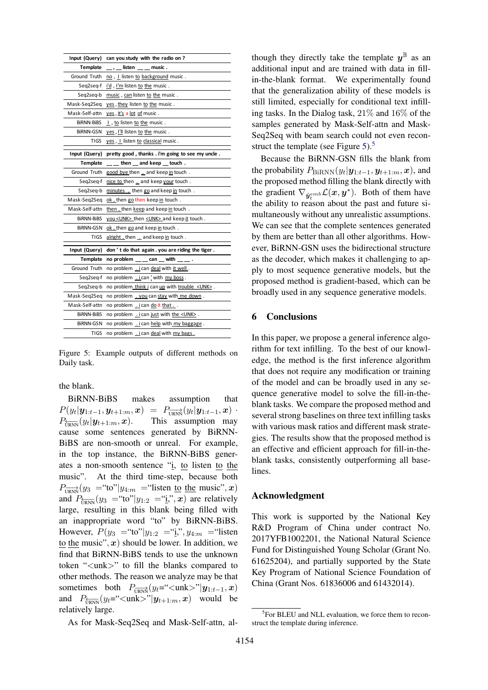<span id="page-8-0"></span>

| Input (Query)    | can you study with the radio on?                        |  |
|------------------|---------------------------------------------------------|--|
| <b>Template</b>  | listen music.                                           |  |
| Ground Truth     | no, I listen to background music.                       |  |
| Seq2seq-f        | i'd, I'm listen to the music.                           |  |
| Seg2seg-b        | music, can listen to the music.                         |  |
| Mask-Seq2Seq     | yes, they listen to the music.                          |  |
| Mask-Self-attn   | yes, it's a lot of music.                               |  |
| BIRNN-BIBS       | I, to listen to the music.                              |  |
| BiRNN-GSN        | yes, I'll listen to the music.                          |  |
| TIGS             | yes, I listen to classical music.                       |  |
| Input (Query)    | pretty good, thanks. i'm going to see my uncle.         |  |
| <b>Template</b>  | then _and keep _touch.                                  |  |
| Ground Truth     | good bye then _ and keep in touch.                      |  |
| Seq2seq-f        | nice to then  and keep your touch.                      |  |
| Seq2seq-b        | minutes, then go and keep in touch.                     |  |
| Mask-Seq2Seq     | ok, then go then keep in touch.                         |  |
| Mask-Self-attn   | then then keep and keep in touch.                       |  |
| BIRNN-BIBS       | you <unk> then <unk> and keep it touch.</unk></unk>     |  |
| <b>BIRNN-GSN</b> | ok, then go and keep in touch.                          |  |
| TIGS             | alright, then _ and keep in touch.                      |  |
| Input (Query)    | don't do that again. you are riding the tiger.          |  |
| <b>Template</b>  | no problem _____ can __ with _____.                     |  |
| Ground Truth     | no problem  i can deal with it well.                    |  |
| Seq2seq-f        | no problem .ican ' with my boss.                        |  |
| Seg2seg-b        | no problem_think i can up with trouble <unk>.</unk>     |  |
| Mask-Seq2Seq     | no problem . you can stay with me down.                 |  |
| Mask-Self-attn   | no problem .i can do it that                            |  |
| BIRNN-BIBS       | no problem $\frac{1}{1}$ can just with the <unk>.</unk> |  |
| <b>BIRNN-GSN</b> | no problem  i can help with my baggage.                 |  |
| TIGS             | no problem .i can deal with my bags.                    |  |

Figure 5: Example outputs of different methods on Daily task.

the blank.

BiRNN-BiBS makes assumption that  $P(y_t|\bm{y}_{1:t-1},\bm{y}_{t+1:m},\bm{x})\;=\; P_{\overrightarrow{\text{URNN}}}(y_t|\bm{y}_{1:t-1},\bm{x})\;\cdot$  $P_{\overline{\text{IPNN}}}(y_t | \mathbf{y}_{t+1:m}, \mathbf{x}).$ This assumption may cause some sentences generated by BiRNN-BiBS are non-smooth or unreal. For example, in the top instance, the BiRNN-BiBS generates a non-smooth sentence "i, to listen to the music". At the third time-step, because both  $P_{\overrightarrow{\text{URNN}}}(y_3 = \text{``to''}]y_{4:m} = \text{``listen to the music''}, x)$ and  $P_{\overline{\text{HPMN}}}(y_3 = \text{``to''}]y_{1:2} = \text{``i''}, x$  are relatively large, resulting in this blank being filled with an inappropriate word "to" by BiRNN-BiBS. However,  $P(y_3 = "to" | y_{1:2} = "i", y_{4:m} = "listen$ to the music",  $x$ ) should be lower. In addition, we find that BiRNN-BiBS tends to use the unknown token "<unk>" to fill the blanks compared to other methods. The reason we analyze may be that sometimes both  $P_{\overrightarrow{\text{URNN}}}(y_t=``$ and  $P_{\overline{U_R}N}(y_t=`` would be$ relatively large.

As for Mask-Seq2Seq and Mask-Self-attn, al-

though they directly take the template  $y^{\mathbb{B}}$  as an additional input and are trained with data in fillin-the-blank format. We experimentally found that the generalization ability of these models is still limited, especially for conditional text infilling tasks. In the Dialog task, 21% and 16% of the samples generated by Mask-Self-attn and Mask-Seq2Seq with beam search could not even recon-struct the template (see Figure [5\)](#page-8-0). $5$ 

Because the BiRNN-GSN fills the blank from the probability  $P_{\text{BiRNN}}(y_t|\boldsymbol{y}_{1:t-1}, \boldsymbol{y}_{t+1:m}, \boldsymbol{x})$ , and the proposed method filling the blank directly with the gradient  $\nabla_{\hat{y}_t^{emb}} \mathcal{L}(x, y^*)$ . Both of them have the ability to reason about the past and future simultaneously without any unrealistic assumptions. We can see that the complete sentences generated by them are better than all other algorithms. However, BiRNN-GSN uses the bidirectional structure as the decoder, which makes it challenging to apply to most sequence generative models, but the proposed method is gradient-based, which can be broadly used in any sequence generative models.

## 6 Conclusions

In this paper, we propose a general inference algorithm for text infilling. To the best of our knowledge, the method is the first inference algorithm that does not require any modification or training of the model and can be broadly used in any sequence generative model to solve the fill-in-theblank tasks. We compare the proposed method and several strong baselines on three text infilling tasks with various mask ratios and different mask strategies. The results show that the proposed method is an effective and efficient approach for fill-in-theblank tasks, consistently outperforming all baselines.

#### Acknowledgment

This work is supported by the National Key R&D Program of China under contract No. 2017YFB1002201, the National Natural Science Fund for Distinguished Young Scholar (Grant No. 61625204), and partially supported by the State Key Program of National Science Foundation of China (Grant Nos. 61836006 and 61432014).

<span id="page-8-1"></span><sup>&</sup>lt;sup>5</sup>For BLEU and NLL evaluation, we force them to reconstruct the template during inference.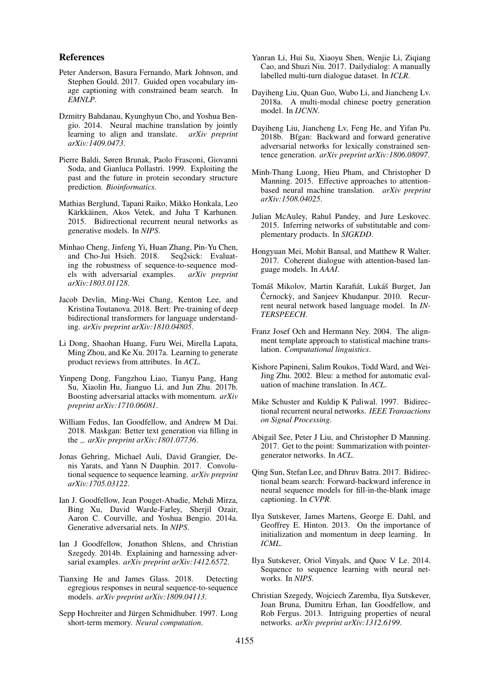#### References

- <span id="page-9-8"></span>Peter Anderson, Basura Fernando, Mark Johnson, and Stephen Gould. 2017. Guided open vocabulary image captioning with constrained beam search. In *EMNLP*.
- <span id="page-9-6"></span>Dzmitry Bahdanau, Kyunghyun Cho, and Yoshua Bengio. 2014. Neural machine translation by jointly learning to align and translate. *arXiv preprint arXiv:1409.0473*.
- <span id="page-9-15"></span>Pierre Baldi, Søren Brunak, Paolo Frasconi, Giovanni Soda, and Gianluca Pollastri. 1999. Exploiting the past and the future in protein secondary structure prediction. *Bioinformatics*.
- <span id="page-9-2"></span>Mathias Berglund, Tapani Raiko, Mikko Honkala, Leo Kärkkäinen, Akos Vetek, and Juha T Karhunen. 2015. Bidirectional recurrent neural networks as generative models. In *NIPS*.
- <span id="page-9-21"></span>Minhao Cheng, Jinfeng Yi, Huan Zhang, Pin-Yu Chen, and Cho-Jui Hsieh. 2018. Seq2sick: Evaluating the robustness of sequence-to-sequence models with adversarial examples. *arXiv preprint arXiv:1803.01128*.
- <span id="page-9-4"></span>Jacob Devlin, Ming-Wei Chang, Kenton Lee, and Kristina Toutanova. 2018. Bert: Pre-training of deep bidirectional transformers for language understanding. *arXiv preprint arXiv:1810.04805*.
- <span id="page-9-25"></span>Li Dong, Shaohan Huang, Furu Wei, Mirella Lapata, Ming Zhou, and Ke Xu. 2017a. Learning to generate product reviews from attributes. In *ACL*.
- <span id="page-9-23"></span>Yinpeng Dong, Fangzhou Liao, Tianyu Pang, Hang Su, Xiaolin Hu, Jianguo Li, and Jun Zhu. 2017b. Boosting adversarial attacks with momentum. *arXiv preprint arXiv:1710.06081*.
- <span id="page-9-13"></span>William Fedus, Ian Goodfellow, and Andrew M Dai. 2018. Maskgan: Better text generation via filling in the . *arXiv preprint arXiv:1801.07736*.
- <span id="page-9-7"></span>Jonas Gehring, Michael Auli, David Grangier, Denis Yarats, and Yann N Dauphin. 2017. Convolutional sequence to sequence learning. *arXiv preprint arXiv:1705.03122*.
- <span id="page-9-27"></span>Ian J. Goodfellow, Jean Pouget-Abadie, Mehdi Mirza, Bing Xu, David Warde-Farley, Sherjil Ozair, Aaron C. Courville, and Yoshua Bengio. 2014a. Generative adversarial nets. In *NIPS*.
- <span id="page-9-18"></span>Ian J Goodfellow, Jonathon Shlens, and Christian Szegedy. 2014b. Explaining and harnessing adversarial examples. *arXiv preprint arXiv:1412.6572*.
- <span id="page-9-20"></span>Tianxing He and James Glass. 2018. Detecting egregious responses in neural sequence-to-sequence models. *arXiv preprint arXiv:1809.04113*.
- <span id="page-9-16"></span>Sepp Hochreiter and Jürgen Schmidhuber. 1997. Long short-term memory. *Neural computation*.
- <span id="page-9-24"></span>Yanran Li, Hui Su, Xiaoyu Shen, Wenjie Li, Ziqiang Cao, and Shuzi Niu. 2017. Dailydialog: A manually labelled multi-turn dialogue dataset. In *ICLR*.
- <span id="page-9-3"></span>Dayiheng Liu, Quan Guo, Wubo Li, and Jiancheng Lv. 2018a. A multi-modal chinese poetry generation model. In *IJCNN*.
- <span id="page-9-1"></span>Dayiheng Liu, Jiancheng Lv, Feng He, and Yifan Pu. 2018b. Bfgan: Backward and forward generative adversarial networks for lexically constrained sentence generation. *arXiv preprint arXiv:1806.08097*.
- <span id="page-9-17"></span>Minh-Thang Luong, Hieu Pham, and Christopher D Manning. 2015. Effective approaches to attentionbased neural machine translation. *arXiv preprint arXiv:1508.04025*.
- <span id="page-9-26"></span>Julian McAuley, Rahul Pandey, and Jure Leskovec. 2015. Inferring networks of substitutable and complementary products. In *SIGKDD*.
- <span id="page-9-10"></span>Hongyuan Mei, Mohit Bansal, and Matthew R Walter. 2017. Coherent dialogue with attention-based language models. In *AAAI*.
- <span id="page-9-11"></span>Tomáš Mikolov, Martin Karafiát, Lukáš Burget, Jan Černockỳ, and Sanjeev Khudanpur. 2010. Recurrent neural network based language model. In *IN-TERSPEECH*.
- <span id="page-9-12"></span>Franz Josef Och and Hermann Ney. 2004. The alignment template approach to statistical machine translation. *Computational linguistics*.
- <span id="page-9-28"></span>Kishore Papineni, Salim Roukos, Todd Ward, and Wei-Jing Zhu. 2002. Bleu: a method for automatic evaluation of machine translation. In *ACL*.
- <span id="page-9-14"></span>Mike Schuster and Kuldip K Paliwal. 1997. Bidirectional recurrent neural networks. *IEEE Transactions on Signal Processing*.
- <span id="page-9-9"></span>Abigail See, Peter J Liu, and Christopher D Manning. 2017. Get to the point: Summarization with pointergenerator networks. In *ACL*.
- <span id="page-9-0"></span>Qing Sun, Stefan Lee, and Dhruv Batra. 2017. Bidirectional beam search: Forward-backward inference in neural sequence models for fill-in-the-blank image captioning. In *CVPR*.
- <span id="page-9-22"></span>Ilya Sutskever, James Martens, George E. Dahl, and Geoffrey E. Hinton. 2013. On the importance of initialization and momentum in deep learning. In *ICML*.
- <span id="page-9-5"></span>Ilya Sutskever, Oriol Vinyals, and Quoc V Le. 2014. Sequence to sequence learning with neural networks. In *NIPS*.
- <span id="page-9-19"></span>Christian Szegedy, Wojciech Zaremba, Ilya Sutskever, Joan Bruna, Dumitru Erhan, Ian Goodfellow, and Rob Fergus. 2013. Intriguing properties of neural networks. *arXiv preprint arXiv:1312.6199*.